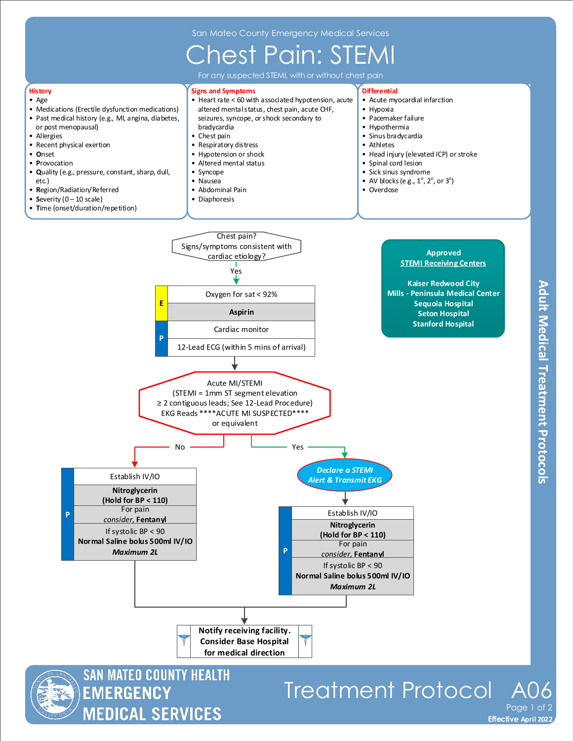## Chest Pain: STEMI



**MEDICAL SERVICES** 

**Effective November 2018 Effective April 2022** Page 1